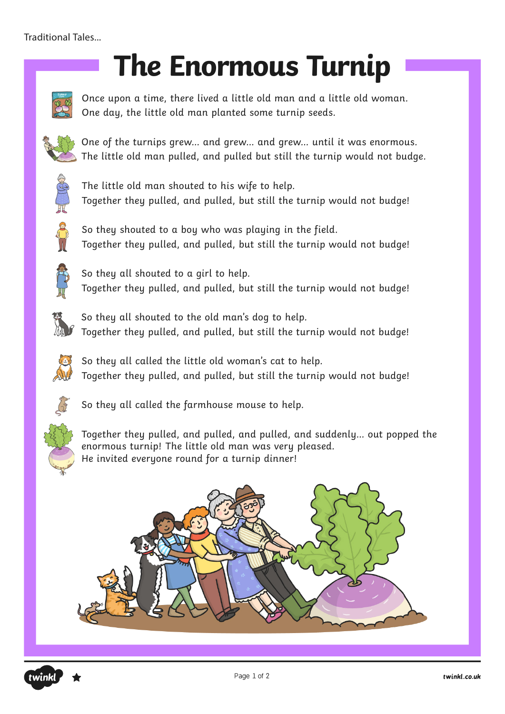#### Traditional Tales...

# **The Enormous Turnip**



Once upon a time, there lived a little old man and a little old woman. One day, the little old man planted some turnip seeds.



One of the turnips grew… and grew… and grew… until it was enormous. The little old man pulled, and pulled but still the turnip would not budge.



The little old man shouted to his wife to help. Together they pulled, and pulled, but still the turnip would not budge!



So they shouted to a boy who was playing in the field. Together they pulled, and pulled, but still the turnip would not budge!



So they all shouted to a girl to help. Together they pulled, and pulled, but still the turnip would not budge!



So they all shouted to the old man's dog to help. Together they pulled, and pulled, but still the turnip would not budge!



So they all called the little old woman's cat to help. Together they pulled, and pulled, but still the turnip would not budge!



So they all called the farmhouse mouse to help.



Together they pulled, and pulled, and pulled, and suddenly… out popped the enormous turnip! The little old man was very pleased. He invited everyone round for a turnip dinner!



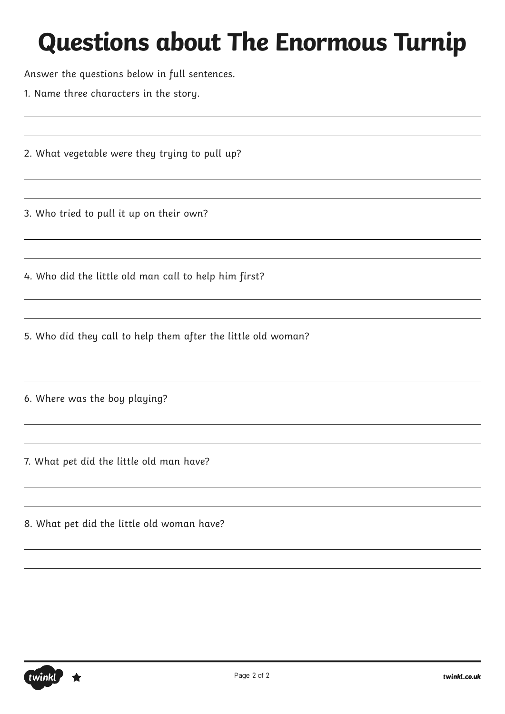Answer the questions below in full sentences.

1. Name three characters in the story.

2. What vegetable were they trying to pull up?

3. Who tried to pull it up on their own?

4. Who did the little old man call to help him first?

5. Who did they call to help them after the little old woman?

6. Where was the boy playing?

7. What pet did the little old man have?

8. What pet did the little old woman have?

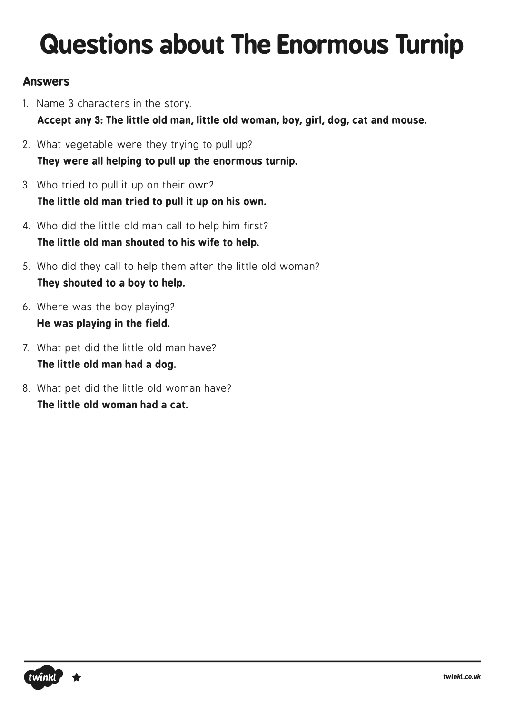#### **Answers**

- 1. Name 3 characters in the story. **Accept any 3: The little old man, little old woman, boy, girl, dog, cat and mouse.**
- 2. What vegetable were they trying to pull up? **They were all helping to pull up the enormous turnip.**
- 3. Who tried to pull it up on their own? **The little old man tried to pull it up on his own.**
- 4. Who did the little old man call to help him first? **The little old man shouted to his wife to help.**
- 5. Who did they call to help them after the little old woman? **They shouted to a boy to help.**
- 6. Where was the boy playing? **He was playing in the field.**
- 7. What pet did the little old man have? **The little old man had a dog.**
- 8. What pet did the little old woman have? **The little old woman had a cat.**

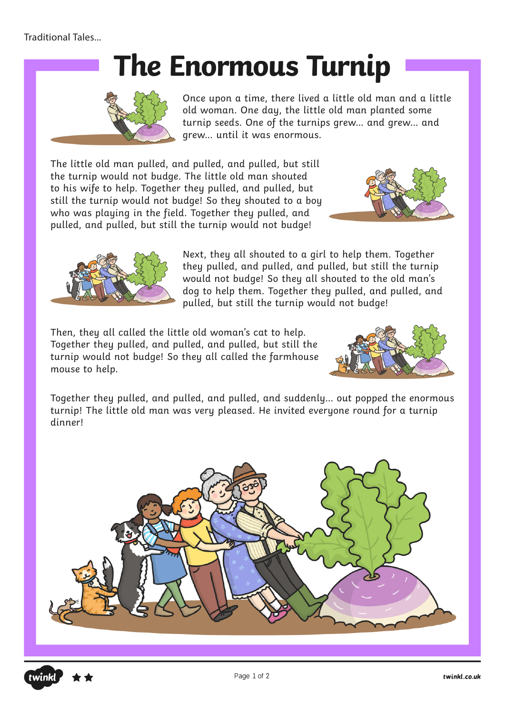## **The Enormous Turnip**



Once upon a time, there lived a little old man and a little old woman. One day, the little old man planted some turnip seeds. One of the turnips grew… and grew… and grew… until it was enormous.

The little old man pulled, and pulled, and pulled, but still the turnip would not budge. The little old man shouted to his wife to help. Together they pulled, and pulled, but still the turnip would not budge! So they shouted to a boy who was playing in the field. Together they pulled, and pulled, and pulled, but still the turnip would not budge!





Next, they all shouted to a girl to help them. Together they pulled, and pulled, and pulled, but still the turnip would not budge! So they all shouted to the old man's dog to help them. Together they pulled, and pulled, and pulled, but still the turnip would not budge!

Then, they all called the little old woman's cat to help. Together they pulled, and pulled, and pulled, but still the turnip would not budge! So they all called the farmhouse mouse to help.



Together they pulled, and pulled, and pulled, and suddenly… out popped the enormous turnip! The little old man was very pleased. He invited everyone round for a turnip dinner!



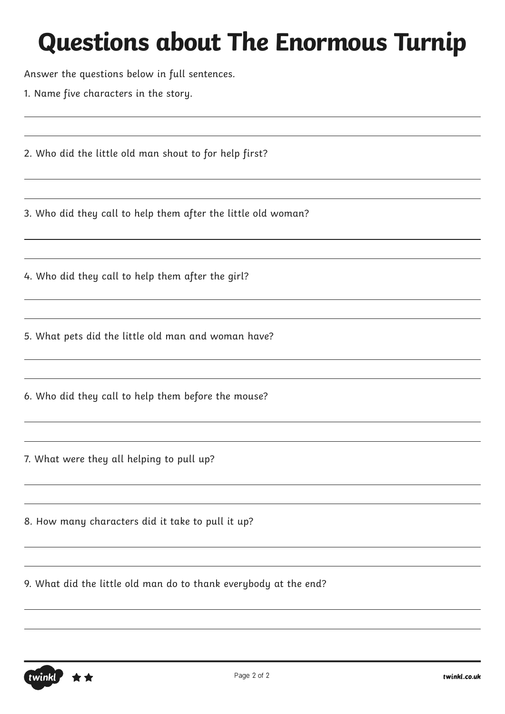Answer the questions below in full sentences.

1. Name five characters in the story.

2. Who did the little old man shout to for help first?

3. Who did they call to help them after the little old woman?

4. Who did they call to help them after the girl?

5. What pets did the little old man and woman have?

6. Who did they call to help them before the mouse?

7. What were they all helping to pull up?

8. How many characters did it take to pull it up?

9. What did the little old man do to thank everybody at the end?

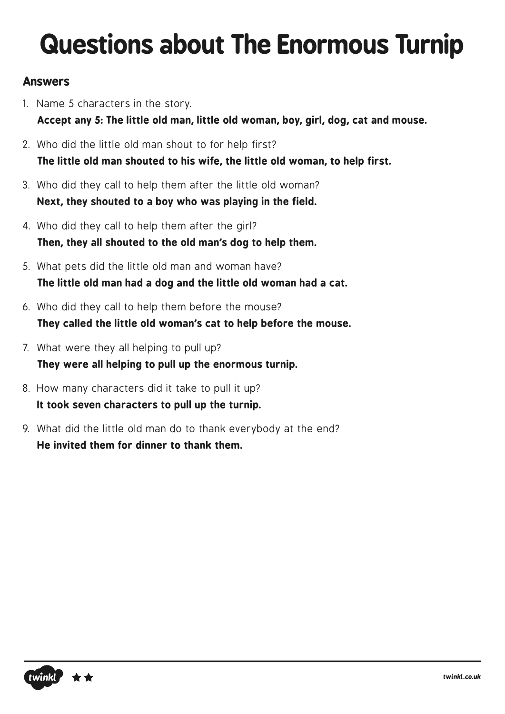#### **Answers**

- 1. Name 5 characters in the story. **Accept any 5: The little old man, little old woman, boy, girl, dog, cat and mouse.**
- 2. Who did the little old man shout to for help first? **The little old man shouted to his wife, the little old woman, to help first.**
- 3. Who did they call to help them after the little old woman? **Next, they shouted to a boy who was playing in the field.**
- 4. Who did they call to help them after the girl? **Then, they all shouted to the old man's dog to help them.**
- 5. What pets did the little old man and woman have? **The little old man had a dog and the little old woman had a cat.**
- 6. Who did they call to help them before the mouse? **They called the little old woman's cat to help before the mouse.**
- 7. What were they all helping to pull up? **They were all helping to pull up the enormous turnip.**
- 8. How many characters did it take to pull it up? **It took seven characters to pull up the turnip.**
- 9. What did the little old man do to thank everybody at the end? **He invited them for dinner to thank them.**

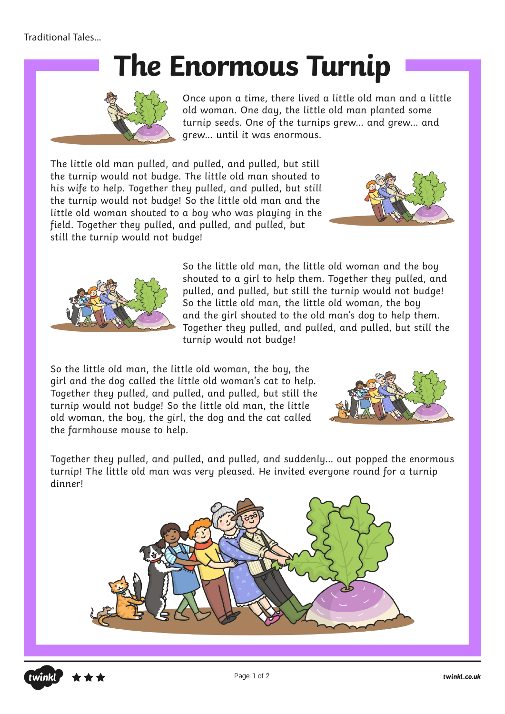## **The Enormous Turnip**



Once upon a time, there lived a little old man and a little old woman. One day, the little old man planted some turnip seeds. One of the turnips grew… and grew… and grew… until it was enormous.

The little old man pulled, and pulled, and pulled, but still the turnip would not budge. The little old man shouted to his wife to help. Together they pulled, and pulled, but still the turnip would not budge! So the little old man and the little old woman shouted to a boy who was playing in the field. Together they pulled, and pulled, and pulled, but still the turnip would not budge!





So the little old man, the little old woman and the boy shouted to a girl to help them. Together they pulled, and pulled, and pulled, but still the turnip would not budge! So the little old man, the little old woman, the boy and the girl shouted to the old man's dog to help them. Together they pulled, and pulled, and pulled, but still the turnip would not budge!

So the little old man, the little old woman, the boy, the girl and the dog called the little old woman's cat to help. Together they pulled, and pulled, and pulled, but still the turnip would not budge! So the little old man, the little old woman, the boy, the girl, the dog and the cat called the farmhouse mouse to help.



Together they pulled, and pulled, and pulled, and suddenly… out popped the enormous turnip! The little old man was very pleased. He invited everyone round for a turnip dinner!



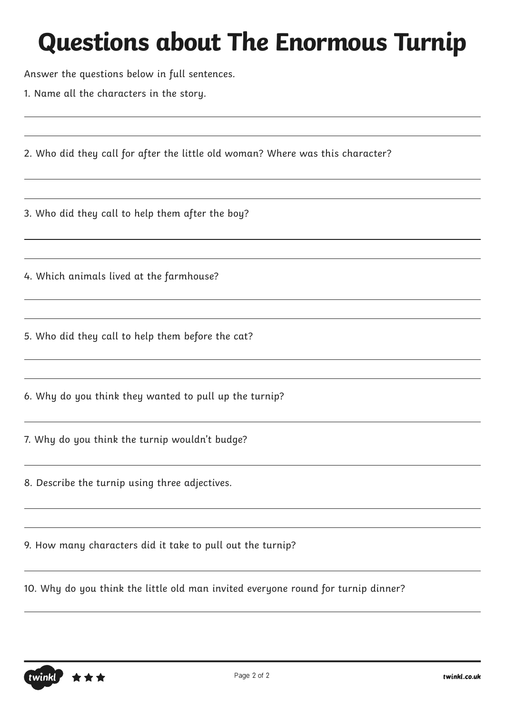Answer the questions below in full sentences.

1. Name all the characters in the story.

2. Who did they call for after the little old woman? Where was this character?

3. Who did they call to help them after the boy?

4. Which animals lived at the farmhouse?

5. Who did they call to help them before the cat?

6. Why do you think they wanted to pull up the turnip?

7. Why do you think the turnip wouldn't budge?

8. Describe the turnip using three adjectives.

9. How many characters did it take to pull out the turnip?

10. Why do you think the little old man invited everyone round for turnip dinner?